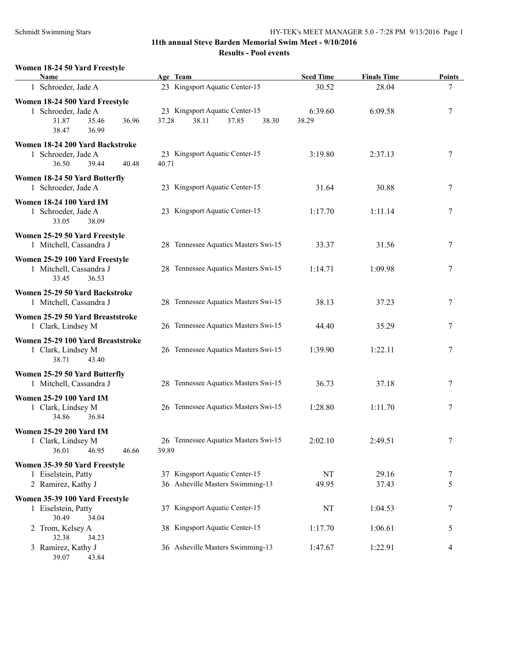# **Women 18-24 50 Yard Freestyle Name Age Team Seed Time Finals Time Points** 1 Schroeder, Jade A 23 Kingsport Aquatic Center-15 30.52 28.04 7 **Women 18-24 500 Yard Freestyle** 1 Schroeder, Jade A 23 Kingsport Aquatic Center-15 6:39.60 6:09.58 7 31.87 35.46 36.96 37.28 38.11 37.85 38.30 38.29 38.47 36.99 **Women 18-24 200 Yard Backstroke** 1 Schroeder, Jade A 23 Kingsport Aquatic Center-15 3:19.80 2:37.13 7 36.50 39.44 40.48 40.71 **Women 18-24 50 Yard Butterfly** 1 Schroeder, Jade A 23 Kingsport Aquatic Center-15 31.64 30.88 7 **Women 18-24 100 Yard IM** 1 Schroeder, Jade A 23 Kingsport Aquatic Center-15 1:17.70 1:11.14 7 33.05 38.09 **Women 25-29 50 Yard Freestyle** 1 Mitchell, Cassandra J 28 Tennessee Aquatics Masters Swi-15 33.37 31.56 7 **Women 25-29 100 Yard Freestyle** 1 Mitchell, Cassandra J 28 Tennessee Aquatics Masters Swi-15 1:14.71 1:09.98 7 33.45 36.53 **Women 25-29 50 Yard Backstroke** 1 Mitchell, Cassandra J 28 Tennessee Aquatics Masters Swi-15 38.13 37.23 7 **Women 25-29 50 Yard Breaststroke** 1 Clark, Lindsey M 26 Tennessee Aquatics Masters Swi-15 44.40 35.29 7 **Women 25-29 100 Yard Breaststroke** 1 Clark, Lindsey M 26 Tennessee Aquatics Masters Swi-15 1:39.90 1:22.11 7 38.71 43.40 **Women 25-29 50 Yard Butterfly** 1 Mitchell, Cassandra J 28 Tennessee Aquatics Masters Swi-15 36.73 37.18 7 **Women 25-29 100 Yard IM** 1 Clark, Lindsey M 26 Tennessee Aquatics Masters Swi-15 1:28.80 1:11.70 7 34.86 36.84 **Women 25-29 200 Yard IM** 1 Clark, Lindsey M 26 Tennessee Aquatics Masters Swi-15 2:02.10 2:49.51 7 36.01 46.95 46.66 39.89 **Women 35-39 50 Yard Freestyle** 1 Eiselstein, Patty 37 Kingsport Aquatic Center-15 NT 29.16 7 2 Ramirez, Kathy J 36 Asheville Masters Swimming-13 49.95 37.43 5 **Women 35-39 100 Yard Freestyle** 1 Eiselstein, Patty 37 Kingsport Aquatic Center-15 NT 1:04.53 7 30.49 34.04 2 Trom, Kelsey A 38 Kingsport Aquatic Center-15 1:17.70 1:06.61 5 32.38 34.23 3 Ramirez, Kathy J 36 Asheville Masters Swimming-13 1:47.67 1:22.91 4 39.07 43.84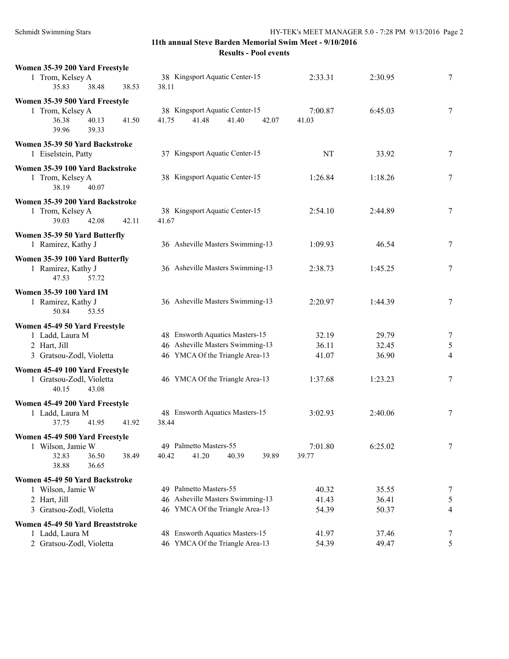| Women 35-39 200 Yard Freestyle<br>1 Trom, Kelsey A<br>35.83<br>38.48<br>38.53                    | 38 Kingsport Aquatic Center-15<br>38.11                            | 2:33.31          | 2:30.95 | 7      |
|--------------------------------------------------------------------------------------------------|--------------------------------------------------------------------|------------------|---------|--------|
| Women 35-39 500 Yard Freestyle                                                                   |                                                                    |                  |         |        |
| 1 Trom, Kelsey A<br>36.38<br>40.13<br>41.50<br>39.33<br>39.96                                    | 38 Kingsport Aquatic Center-15<br>41.75<br>41.48<br>41.40<br>42.07 | 7:00.87<br>41.03 | 6:45.03 | 7      |
| Women 35-39 50 Yard Backstroke<br>1 Eiselstein, Patty                                            | 37 Kingsport Aquatic Center-15                                     | NT               | 33.92   | $\tau$ |
| Women 35-39 100 Yard Backstroke<br>1 Trom, Kelsey A<br>38.19<br>40.07                            | 38 Kingsport Aquatic Center-15                                     | 1:26.84          | 1:18.26 | 7      |
| Women 35-39 200 Yard Backstroke<br>1 Trom, Kelsey A<br>39.03<br>42.08<br>42.11                   | 38 Kingsport Aquatic Center-15<br>41.67                            | 2:54.10          | 2:44.89 | 7      |
| Women 35-39 50 Yard Butterfly<br>1 Ramirez, Kathy J                                              | 36 Asheville Masters Swimming-13                                   | 1:09.93          | 46.54   | 7      |
| Women 35-39 100 Yard Butterfly<br>1 Ramirez, Kathy J<br>47.53<br>57.72                           | 36 Asheville Masters Swimming-13                                   | 2:38.73          | 1:45.25 | 7      |
| <b>Women 35-39 100 Yard IM</b><br>1 Ramirez, Kathy J<br>53.55<br>50.84                           | 36 Asheville Masters Swimming-13                                   | 2:20.97          | 1:44.39 | 7      |
| Women 45-49 50 Yard Freestyle                                                                    |                                                                    |                  |         |        |
| 1 Ladd, Laura M                                                                                  | 48 Ensworth Aquatics Masters-15                                    | 32.19            | 29.79   | 7      |
| 2 Hart, Jill                                                                                     | 46 Asheville Masters Swimming-13                                   | 36.11            | 32.45   | 5      |
| 3 Gratsou-Zodl, Violetta                                                                         | 46 YMCA Of the Triangle Area-13                                    | 41.07            | 36.90   | 4      |
| Women 45-49 100 Yard Freestyle<br>1 Gratsou-Zodl, Violetta<br>40.15<br>43.08                     | 46 YMCA Of the Triangle Area-13                                    | 1:37.68          | 1:23.23 | 7      |
| Women 45-49 200 Yard Freestyle                                                                   |                                                                    |                  |         |        |
| 1 Ladd, Laura M<br>37.75<br>41.95<br>41.92                                                       | 48 Ensworth Aquatics Masters-15<br>38.44                           | 3:02.93          | 2:40.06 | 7      |
| Women 45-49 500 Yard Freestyle<br>1 Wilson, Jamie W<br>32.83<br>36.50<br>38.49<br>38.88<br>36.65 | 49 Palmetto Masters-55<br>41.20<br>40.42<br>40.39<br>39.89         | 7:01.80<br>39.77 | 6:25.02 | 7      |
| Women 45-49 50 Yard Backstroke                                                                   |                                                                    |                  |         |        |
| 1 Wilson, Jamie W                                                                                | 49 Palmetto Masters-55                                             | 40.32            | 35.55   | 7      |
| 2 Hart, Jill                                                                                     | 46 Asheville Masters Swimming-13                                   | 41.43            | 36.41   | 5      |
| 3 Gratsou-Zodl, Violetta                                                                         | 46 YMCA Of the Triangle Area-13                                    | 54.39            | 50.37   | 4      |
| Women 45-49 50 Yard Breaststroke                                                                 |                                                                    |                  |         |        |
| 1 Ladd, Laura M                                                                                  | 48 Ensworth Aquatics Masters-15                                    | 41.97            | 37.46   | 7      |
| 2 Gratsou-Zodl, Violetta                                                                         | 46 YMCA Of the Triangle Area-13                                    | 54.39            | 49.47   | 5      |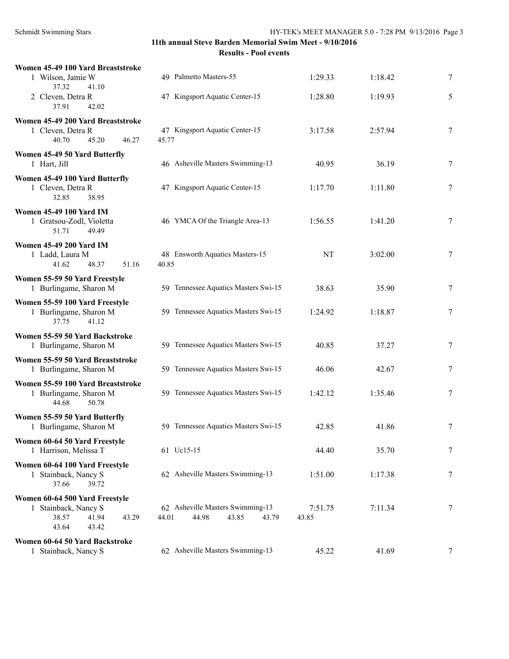| Women 45-49 100 Yard Breaststroke                                                                   |                                                                      |                  |         |   |
|-----------------------------------------------------------------------------------------------------|----------------------------------------------------------------------|------------------|---------|---|
| 1 Wilson, Jamie W<br>37.32<br>41.10                                                                 | 49 Palmetto Masters-55                                               | 1:29.33          | 1:18.42 | 7 |
| 2 Cleven, Detra R<br>37.91<br>42.02                                                                 | 47 Kingsport Aquatic Center-15                                       | 1:28.80          | 1:19.93 | 5 |
| Women 45-49 200 Yard Breaststroke<br>1 Cleven, Detra R<br>40.70<br>46.27<br>45.20                   | 47 Kingsport Aquatic Center-15<br>45.77                              | 3:17.58          | 2:57.94 | 7 |
| Women 45-49 50 Yard Butterfly<br>1 Hart, Jill                                                       | 46 Asheville Masters Swimming-13                                     | 40.95            | 36.19   | 7 |
| Women 45-49 100 Yard Butterfly<br>1 Cleven, Detra R<br>32.85<br>38.95                               | 47 Kingsport Aquatic Center-15                                       | 1:17.70          | 1:11.80 | 7 |
| <b>Women 45-49 100 Yard IM</b><br>1 Gratsou-Zodl, Violetta<br>49.49<br>51.71                        | 46 YMCA Of the Triangle Area-13                                      | 1:56.55          | 1:41.20 | 7 |
| <b>Women 45-49 200 Yard IM</b><br>1 Ladd, Laura M<br>41.62<br>48.37<br>51.16                        | 48 Ensworth Aquatics Masters-15<br>40.85                             | NT               | 3:02.00 | 7 |
| Women 55-59 50 Yard Freestyle<br>1 Burlingame, Sharon M                                             | 59 Tennessee Aquatics Masters Swi-15                                 | 38.63            | 35.90   | 7 |
| Women 55-59 100 Yard Freestyle<br>1 Burlingame, Sharon M<br>41.12<br>37.75                          | 59 Tennessee Aquatics Masters Swi-15                                 | 1:24.92          | 1:18.87 | 7 |
| Women 55-59 50 Yard Backstroke<br>1 Burlingame, Sharon M                                            | 59 Tennessee Aquatics Masters Swi-15                                 | 40.85            | 37.27   | 7 |
| Women 55-59 50 Yard Breaststroke<br>1 Burlingame, Sharon M                                          | 59 Tennessee Aquatics Masters Swi-15                                 | 46.06            | 42.67   | 7 |
| Women 55-59 100 Yard Breaststroke<br>1 Burlingame, Sharon M<br>44.68<br>50.78                       | 59 Tennessee Aquatics Masters Swi-15                                 | 1:42.12          | 1:35.46 | 7 |
| Women 55-59 50 Yard Butterfly<br>1 Burlingame, Sharon M                                             | 59 Tennessee Aquatics Masters Swi-15                                 | 42.85            | 41.86   | 7 |
| Women 60-64 50 Yard Freestyle<br>1 Harrison, Melissa T                                              | 61 Uc15-15                                                           | 44.40            | 35.70   | 7 |
| Women 60-64 100 Yard Freestyle<br>1 Stainback, Nancy S<br>37.66<br>39.72                            | 62 Asheville Masters Swimming-13                                     | 1:51.00          | 1:17.38 | 7 |
| Women 60-64 500 Yard Freestyle<br>1 Stainback, Nancy S<br>38.57<br>41.94<br>43.29<br>43.64<br>43.42 | 62 Asheville Masters Swimming-13<br>44.98<br>43.85<br>44.01<br>43.79 | 7:51.75<br>43.85 | 7:11.34 | 7 |
| Women 60-64 50 Yard Backstroke<br>1 Stainback, Nancy S                                              | 62 Asheville Masters Swimming-13                                     | 45.22            | 41.69   | 7 |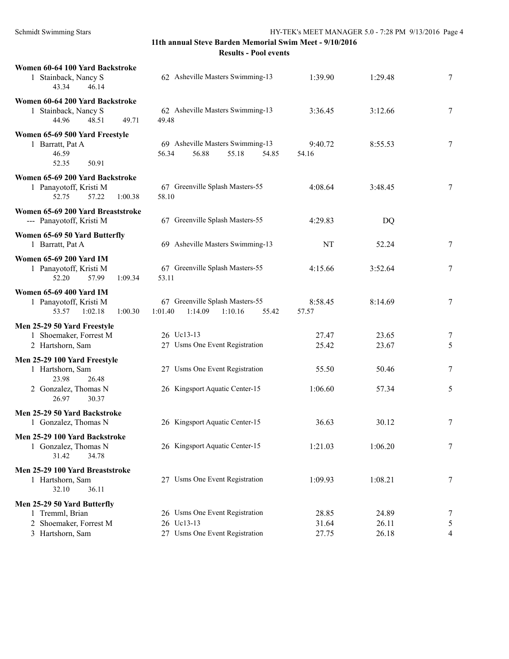| Women 60-64 100 Yard Backstroke<br>62 Asheville Masters Swimming-13<br>1 Stainback, Nancy S<br>43.34<br>46.14 |                                                                                | 1:39.90                 | 1:29.48                 | 7                |
|---------------------------------------------------------------------------------------------------------------|--------------------------------------------------------------------------------|-------------------------|-------------------------|------------------|
| Women 60-64 200 Yard Backstroke<br>1 Stainback, Nancy S<br>44.96<br>48.51<br>49.71                            | 62 Asheville Masters Swimming-13<br>49.48                                      | 3:36.45                 | 3:12.66                 | 7                |
| Women 65-69 500 Yard Freestyle<br>1 Barratt, Pat A<br>46.59<br>52.35<br>50.91                                 | 69 Asheville Masters Swimming-13<br>56.88<br>56.34<br>55.18<br>54.85           | 9:40.72<br>54.16        | 8:55.53                 | 7                |
| Women 65-69 200 Yard Backstroke<br>1 Panayotoff, Kristi M<br>57.22<br>52.75<br>1:00.38                        | 67 Greenville Splash Masters-55<br>58.10                                       | 4:08.64                 | 3:48.45                 | 7                |
| Women 65-69 200 Yard Breaststroke<br>--- Panayotoff, Kristi M                                                 | 67 Greenville Splash Masters-55                                                | 4:29.83                 | DQ                      |                  |
| Women 65-69 50 Yard Butterfly<br>1 Barratt, Pat A                                                             | 69 Asheville Masters Swimming-13                                               | NT                      | 52.24                   | 7                |
| <b>Women 65-69 200 Yard IM</b><br>1 Panayotoff, Kristi M<br>57.99<br>1:09.34<br>52.20                         | 67 Greenville Splash Masters-55<br>53.11                                       | 4:15.66                 | 3:52.64                 | 7                |
| <b>Women 65-69 400 Yard IM</b><br>1 Panayotoff, Kristi M<br>53.57<br>1:02.18<br>1:00.30                       | 67 Greenville Splash Masters-55<br>1:14.09<br>1:10.16<br>1:01.40<br>55.42      | 8:58.45<br>57.57        | 8:14.69                 | $\tau$           |
| Men 25-29 50 Yard Freestyle<br>1 Shoemaker, Forrest M<br>2 Hartshorn, Sam                                     | 26 Uc13-13<br>27 Usms One Event Registration                                   | 27.47<br>25.42          | 23.65<br>23.67          | 7<br>5           |
| Men 25-29 100 Yard Freestyle<br>1 Hartshorn, Sam<br>23.98<br>26.48                                            | 27 Usms One Event Registration                                                 | 55.50                   | 50.46                   | 7                |
| 2 Gonzalez, Thomas N<br>26.97<br>30.37                                                                        | 26 Kingsport Aquatic Center-15                                                 | 1:06.60                 | 57.34                   | 5                |
| Men 25-29 50 Yard Backstroke<br>1 Gonzalez, Thomas N                                                          | 26 Kingsport Aquatic Center-15                                                 | 36.63                   | 30.12                   | 7                |
| Men 25-29 100 Yard Backstroke<br>1 Gonzalez, Thomas N<br>31.42<br>34.78                                       | 26 Kingsport Aquatic Center-15                                                 | 1:21.03                 | 1:06.20                 | $\boldsymbol{7}$ |
| Men 25-29 100 Yard Breaststroke<br>1 Hartshorn, Sam<br>32.10<br>36.11                                         | 27 Usms One Event Registration                                                 | 1:09.93                 | 1:08.21                 | 7                |
| Men 25-29 50 Yard Butterfly<br>1 Tremml, Brian<br>2 Shoemaker, Forrest M<br>3 Hartshorn, Sam                  | 26 Usms One Event Registration<br>26 Uc13-13<br>27 Usms One Event Registration | 28.85<br>31.64<br>27.75 | 24.89<br>26.11<br>26.18 | 7<br>5<br>4      |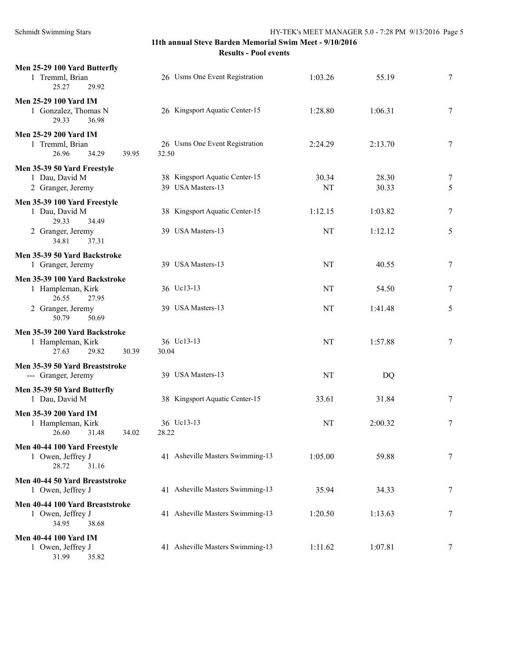| Men 25-29 100 Yard Butterfly<br>1 Tremml, Brian<br>25.27<br>29.92             | 26 Usms One Event Registration                      | 1:03.26     | 55.19          | 7           |
|-------------------------------------------------------------------------------|-----------------------------------------------------|-------------|----------------|-------------|
| Men 25-29 100 Yard IM<br>1 Gonzalez, Thomas N<br>29.33<br>36.98               | 26 Kingsport Aquatic Center-15                      | 1:28.80     | 1:06.31        | 7           |
| Men 25-29 200 Yard IM<br>1 Tremml, Brian<br>26.96<br>34.29<br>39.95           | 26 Usms One Event Registration<br>32.50             | 2:24.29     | 2:13.70        | 7           |
| Men 35-39 50 Yard Freestyle<br>1 Dau, David M<br>2 Granger, Jeremy            | 38 Kingsport Aquatic Center-15<br>39 USA Masters-13 | 30.34<br>NT | 28.30<br>30.33 | $\tau$<br>5 |
| Men 35-39 100 Yard Freestyle<br>1 Dau, David M<br>29.33                       | 38 Kingsport Aquatic Center-15                      | 1:12.15     | 1:03.82        | 7           |
| 34.49<br>2 Granger, Jeremy<br>34.81<br>37.31                                  | 39 USA Masters-13                                   | NT          | 1:12.12        | 5           |
| Men 35-39 50 Yard Backstroke<br>1 Granger, Jeremy                             | 39 USA Masters-13                                   | NT          | 40.55          | $\tau$      |
| Men 35-39 100 Yard Backstroke<br>1 Hampleman, Kirk                            | 36 Uc13-13                                          | NT          | 54.50          | 7           |
| 26.55<br>27.95<br>2 Granger, Jeremy<br>50.79<br>50.69                         | 39 USA Masters-13                                   | NT          | 1:41.48        | 5           |
| Men 35-39 200 Yard Backstroke<br>1 Hampleman, Kirk<br>27.63<br>29.82<br>30.39 | 36 Uc13-13<br>30.04                                 | NT          | 1:57.88        | $\tau$      |
| Men 35-39 50 Yard Breaststroke<br>--- Granger, Jeremy                         | 39 USA Masters-13                                   | NT          | <b>DQ</b>      |             |
| Men 35-39 50 Yard Butterfly<br>1 Dau, David M                                 | 38 Kingsport Aquatic Center-15                      | 33.61       | 31.84          | 7           |
| Men 35-39 200 Yard IM<br>1 Hampleman, Kirk<br>26.60<br>31.48<br>34.02         | 36 Uc13-13<br>28.22                                 | NT          | 2:00.32        | 7           |
| Men 40-44 100 Yard Freestyle<br>1 Owen, Jeffrey J<br>28.72<br>31.16           | 41 Asheville Masters Swimming-13                    | 1:05.00     | 59.88          | 7           |
| Men 40-44 50 Yard Breaststroke<br>1 Owen, Jeffrey J                           | 41 Asheville Masters Swimming-13                    | 35.94       | 34.33          | 7           |
| Men 40-44 100 Yard Breaststroke<br>1 Owen, Jeffrey J<br>34.95<br>38.68        | 41 Asheville Masters Swimming-13                    | 1:20.50     | 1:13.63        | 7           |
| <b>Men 40-44 100 Yard IM</b><br>1 Owen, Jeffrey J<br>31.99<br>35.82           | 41 Asheville Masters Swimming-13                    | 1:11.62     | 1:07.81        | 7           |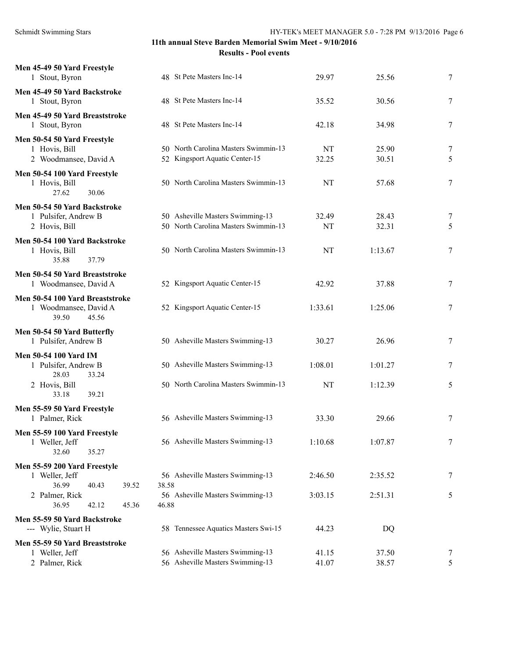| Men 45-49 50 Yard Freestyle<br>1 Stout, Byron                              | 48 St Pete Masters Inc-14                 | 29.97   | 25.56   | 7                |
|----------------------------------------------------------------------------|-------------------------------------------|---------|---------|------------------|
| Men 45-49 50 Yard Backstroke<br>1 Stout, Byron                             | 48 St Pete Masters Inc-14                 | 35.52   | 30.56   | $\tau$           |
| Men 45-49 50 Yard Breaststroke<br>1 Stout, Byron                           | 48 St Pete Masters Inc-14                 | 42.18   | 34.98   | 7                |
| Men 50-54 50 Yard Freestyle                                                |                                           |         |         |                  |
| 1 Hovis, Bill                                                              | 50 North Carolina Masters Swimmin-13      | NT      | 25.90   | $\boldsymbol{7}$ |
| 2 Woodmansee, David A                                                      | 52 Kingsport Aquatic Center-15            | 32.25   | 30.51   | 5                |
| Men 50-54 100 Yard Freestyle<br>1 Hovis, Bill<br>27.62<br>30.06            | 50 North Carolina Masters Swimmin-13      | NT      | 57.68   | 7                |
| Men 50-54 50 Yard Backstroke                                               |                                           |         |         |                  |
| 1 Pulsifer, Andrew B                                                       | 50 Asheville Masters Swimming-13          | 32.49   | 28.43   | 7                |
| 2 Hovis, Bill                                                              | 50 North Carolina Masters Swimmin-13      | NT      | 32.31   | 5                |
| Men 50-54 100 Yard Backstroke<br>1 Hovis, Bill<br>35.88<br>37.79           | 50 North Carolina Masters Swimmin-13      | NT      | 1:13.67 | 7                |
| Men 50-54 50 Yard Breaststroke<br>1 Woodmansee, David A                    | 52 Kingsport Aquatic Center-15            | 42.92   | 37.88   | 7                |
| Men 50-54 100 Yard Breaststroke<br>1 Woodmansee, David A<br>39.50<br>45.56 | 52 Kingsport Aquatic Center-15            | 1:33.61 | 1:25.06 | 7                |
| Men 50-54 50 Yard Butterfly                                                |                                           |         |         |                  |
| 1 Pulsifer, Andrew B                                                       | 50 Asheville Masters Swimming-13          | 30.27   | 26.96   | 7                |
| Men 50-54 100 Yard IM                                                      |                                           |         |         |                  |
| 1 Pulsifer, Andrew B                                                       | 50 Asheville Masters Swimming-13          | 1:08.01 | 1:01.27 | 7                |
| 28.03<br>33.24<br>2 Hovis, Bill<br>39.21<br>33.18                          | 50 North Carolina Masters Swimmin-13      | NT      | 1:12.39 | 5                |
| Men 55-59 50 Yard Freestyle                                                |                                           |         |         |                  |
| 1 Palmer, Rick                                                             | 56 Asheville Masters Swimming-13          | 33.30   | 29.66   | 7                |
| Men 55-59 100 Yard Freestyle<br>1 Weller, Jeff<br>32.60<br>35.27           | 56 Asheville Masters Swimming-13          | 1:10.68 | 1:07.87 | 7                |
| Men 55-59 200 Yard Freestyle                                               |                                           |         |         |                  |
| 1 Weller, Jeff                                                             | 56 Asheville Masters Swimming-13          | 2:46.50 | 2:35.52 | 7                |
| 36.99<br>40.43<br>39.52                                                    | 38.58                                     |         |         |                  |
| 2 Palmer, Rick<br>36.95<br>42.12<br>45.36                                  | 56 Asheville Masters Swimming-13<br>46.88 | 3:03.15 | 2:51.31 | 5                |
| Men 55-59 50 Yard Backstroke<br>--- Wylie, Stuart H                        | 58 Tennessee Aquatics Masters Swi-15      | 44.23   | DQ      |                  |
| Men 55-59 50 Yard Breaststroke                                             |                                           |         |         |                  |
| 1 Weller, Jeff                                                             | 56 Asheville Masters Swimming-13          | 41.15   | 37.50   | 7                |
| 2 Palmer, Rick                                                             | 56 Asheville Masters Swimming-13          | 41.07   | 38.57   | 5                |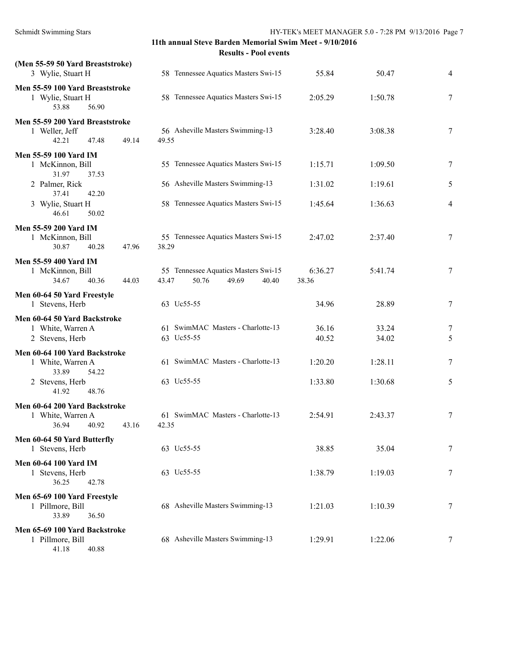| (Men 55-59 50 Yard Breaststroke)                                              |                                                                          |                  |                |                |
|-------------------------------------------------------------------------------|--------------------------------------------------------------------------|------------------|----------------|----------------|
| 3 Wylie, Stuart H                                                             | 58 Tennessee Aquatics Masters Swi-15                                     | 55.84            | 50.47          | $\overline{4}$ |
| Men 55-59 100 Yard Breaststroke<br>1 Wylie, Stuart H<br>53.88<br>56.90        | 58 Tennessee Aquatics Masters Swi-15                                     | 2:05.29          | 1:50.78        | 7              |
| Men 55-59 200 Yard Breaststroke<br>1 Weller, Jeff<br>42.21<br>47.48<br>49.14  | 56 Asheville Masters Swimming-13<br>49.55                                | 3:28.40          | 3:08.38        | 7              |
| Men 55-59 100 Yard IM<br>1 McKinnon, Bill<br>31.97<br>37.53                   | 55 Tennessee Aquatics Masters Swi-15                                     | 1:15.71          | 1:09.50        | 7              |
| 2 Palmer, Rick<br>37.41<br>42.20                                              | 56 Asheville Masters Swimming-13                                         | 1:31.02          | 1:19.61        | 5              |
| 3 Wylie, Stuart H<br>46.61<br>50.02                                           | 58 Tennessee Aquatics Masters Swi-15                                     | 1:45.64          | 1:36.63        | $\overline{4}$ |
| <b>Men 55-59 200 Yard IM</b><br>1 McKinnon, Bill<br>30.87<br>40.28<br>47.96   | 55 Tennessee Aquatics Masters Swi-15<br>38.29                            | 2:47.02          | 2:37.40        | 7              |
| <b>Men 55-59 400 Yard IM</b><br>1 McKinnon, Bill<br>34.67<br>40.36<br>44.03   | 55 Tennessee Aquatics Masters Swi-15<br>43.47<br>50.76<br>49.69<br>40.40 | 6:36.27<br>38.36 | 5:41.74        | 7              |
| Men 60-64 50 Yard Freestyle<br>1 Stevens, Herb                                | 63 Uc55-55                                                               | 34.96            | 28.89          | 7              |
| Men 60-64 50 Yard Backstroke<br>1 White, Warren A<br>2 Stevens, Herb          | 61 SwimMAC Masters - Charlotte-13<br>63 Uc55-55                          | 36.16<br>40.52   | 33.24<br>34.02 | 7<br>5         |
| Men 60-64 100 Yard Backstroke<br>1 White, Warren A<br>33.89<br>54.22          | 61 SwimMAC Masters - Charlotte-13                                        | 1:20.20          | 1:28.11        | 7              |
| 2 Stevens, Herb<br>41.92<br>48.76                                             | 63 Uc55-55                                                               | 1:33.80          | 1:30.68        | 5              |
| Men 60-64 200 Yard Backstroke<br>1 White, Warren A<br>36.94<br>40.92<br>43.16 | 61 SwimMAC Masters - Charlotte-13<br>42.35                               | 2:54.91          | 2:43.37        | 7              |
| Men 60-64 50 Yard Butterfly<br>1 Stevens, Herb                                | 63 Uc55-55                                                               | 38.85            | 35.04          | 7              |
| <b>Men 60-64 100 Yard IM</b><br>1 Stevens, Herb<br>36.25<br>42.78             | 63 Uc55-55                                                               | 1:38.79          | 1:19.03        | 7              |
| Men 65-69 100 Yard Freestyle<br>1 Pillmore, Bill<br>33.89<br>36.50            | 68 Asheville Masters Swimming-13                                         | 1:21.03          | 1:10.39        | 7              |
| Men 65-69 100 Yard Backstroke<br>1 Pillmore, Bill                             | 68 Asheville Masters Swimming-13                                         | 1:29.91          | 1:22.06        | 7              |

41.18 40.88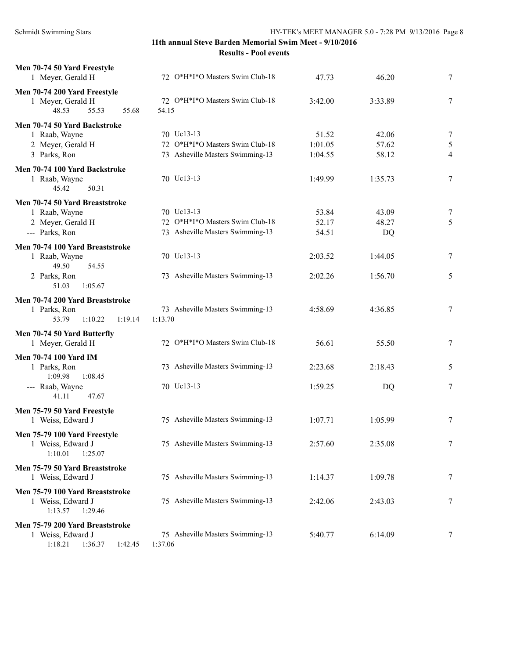| Men 70-74 50 Yard Freestyle<br>1 Meyer, Gerald H    | 72 O*H*I*O Masters Swim Club-18          | 47.73   | 46.20   | 7              |
|-----------------------------------------------------|------------------------------------------|---------|---------|----------------|
| Men 70-74 200 Yard Freestyle                        |                                          |         |         |                |
| 1 Meyer, Gerald H<br>48.53<br>55.53<br>55.68        | 72 O*H*I*O Masters Swim Club-18<br>54.15 | 3:42.00 | 3:33.89 | 7              |
| Men 70-74 50 Yard Backstroke                        |                                          |         |         |                |
| 1 Raab, Wayne                                       | 70 Uc13-13                               | 51.52   | 42.06   | $\overline{7}$ |
| 2 Meyer, Gerald H                                   | 72 O*H*I*O Masters Swim Club-18          | 1:01.05 | 57.62   | $\sqrt{5}$     |
| 3 Parks, Ron                                        | 73 Asheville Masters Swimming-13         | 1:04.55 | 58.12   | $\overline{4}$ |
| Men 70-74 100 Yard Backstroke                       |                                          |         |         |                |
| 1 Raab, Wayne                                       | 70 Uc13-13                               | 1:49.99 | 1:35.73 | 7              |
| 50.31<br>45.42                                      |                                          |         |         |                |
| Men 70-74 50 Yard Breaststroke                      |                                          |         |         |                |
| 1 Raab, Wayne                                       | 70 Uc13-13                               | 53.84   | 43.09   | 7              |
| 2 Meyer, Gerald H                                   | 72 O*H*I*O Masters Swim Club-18          | 52.17   | 48.27   | 5              |
| --- Parks, Ron                                      | 73 Asheville Masters Swimming-13         | 54.51   | DQ      |                |
| Men 70-74 100 Yard Breaststroke                     |                                          |         |         |                |
| 1 Raab, Wayne                                       | 70 Uc13-13                               | 2:03.52 | 1:44.05 | 7              |
| 49.50<br>54.55                                      |                                          |         |         |                |
| 2 Parks, Ron                                        | 73 Asheville Masters Swimming-13         | 2:02.26 | 1:56.70 | 5              |
| 51.03<br>1:05.67                                    |                                          |         |         |                |
| Men 70-74 200 Yard Breaststroke                     |                                          |         |         |                |
| 1 Parks, Ron                                        | 73 Asheville Masters Swimming-13         | 4:58.69 | 4:36.85 | $\tau$         |
| 53.79<br>1:10.22<br>1:19.14                         | 1:13.70                                  |         |         |                |
| Men 70-74 50 Yard Butterfly                         |                                          |         |         |                |
| 1 Meyer, Gerald H                                   | 72 O*H*I*O Masters Swim Club-18          | 56.61   | 55.50   | 7              |
| Men 70-74 100 Yard IM                               |                                          |         |         |                |
| 1 Parks, Ron                                        | 73 Asheville Masters Swimming-13         | 2:23.68 | 2:18.43 | 5              |
| 1:09.98<br>1:08.45                                  |                                          |         |         |                |
| --- Raab, Wayne                                     | 70 Uc13-13                               | 1:59.25 | DQ      | 7              |
| 41.11<br>47.67                                      |                                          |         |         |                |
| Men 75-79 50 Yard Freestyle                         |                                          |         |         |                |
| 1 Weiss, Edward J                                   | 75 Asheville Masters Swimming-13         | 1:07.71 | 1:05.99 | $\tau$         |
| Men 75-79 100 Yard Freestyle                        |                                          |         |         |                |
| 1 Weiss, Edward J                                   | 75 Asheville Masters Swimming-13         | 2:57.60 | 2:35.08 | 7              |
| 1:10.01<br>1:25.07                                  |                                          |         |         |                |
|                                                     |                                          |         |         |                |
| Men 75-79 50 Yard Breaststroke<br>1 Weiss, Edward J | 75 Asheville Masters Swimming-13         | 1:14.37 | 1:09.78 | 7              |
|                                                     |                                          |         |         |                |
| Men 75-79 100 Yard Breaststroke                     |                                          |         |         |                |
| 1 Weiss, Edward J                                   | 75 Asheville Masters Swimming-13         | 2:42.06 | 2:43.03 | 7              |
| 1:13.57<br>1:29.46                                  |                                          |         |         |                |
| Men 75-79 200 Yard Breaststroke                     |                                          |         |         |                |
| 1 Weiss, Edward J                                   | 75 Asheville Masters Swimming-13         | 5:40.77 | 6:14.09 | 7              |
| 1:18.21<br>1:36.37<br>1:42.45                       | 1:37.06                                  |         |         |                |